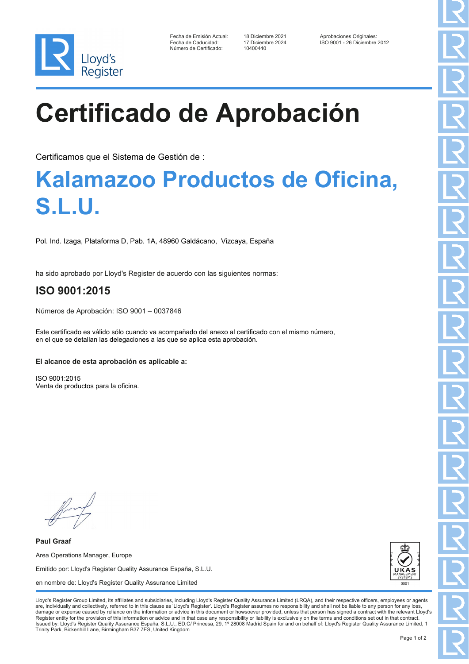

| Fecha de Emisión Actual: |
|--------------------------|
| Fecha de Caducidad:      |
| Número de Certificado:   |

10400440

Fecha de Diciembre 2021 Aprobaciones Originales<br>17 Diciembre 2024 150 9001 - 26 Diciembre Fecha de Caducidad: 17 Diciembre 2024 ISO 9001 - 26 Diciembre 2012

# **Certificado de Aprobación**

Certificamos que el Sistema de Gestión de :

### **Kalamazoo Productos de Oficina, S.L.U.**

Pol. Ind. Izaga, Plataforma D, Pab. 1A, 48960 Galdácano, Vizcaya, España

ha sido aprobado por Lloyd's Register de acuerdo con las siguientes normas:

### **ISO 9001:2015**

Números de Aprobación: ISO 9001 – 0037846

Este certificado es válido sólo cuando va acompañado del anexo al certificado con el mismo número, en el que se detallan las delegaciones a las que se aplica esta aprobación.

#### **El alcance de esta aprobación es aplicable a:**

ISO 9001:2015 Venta de productos para la oficina.

**Paul Graaf** Area Operations Manager, Europe Emitido por: Lloyd's Register Quality Assurance España, S.L.U. en nombre de: Lloyd's Register Quality Assurance Limited



Lloyd's Register Group Limited, its affiliates and subsidiaries, including Lloyd's Register Quality Assurance Limited (LRQA), and their respective officers, employees or agents are, individually and collectively, referred to in this clause as 'Lloyd's Register'. Lloyd's Register assumes no responsibility and shall not be liable to any person for any los damage or expense caused by reliance on the information or advice in this document or howsoever provided, unless that person has signed a contract with the relevant Lloyd's<br>Register entity for the provision of this informa Issued by: Lloyd's Register Quality Assurance España, S.L.U., ED,C/ Princesa, 29, 1º 28008 Madrid Spain for and on behalf of: Lloyd's Register Quality Assurance Limited, 1 Trinity Park, Bickenhill Lane, Birmingham B37 7ES, United Kingdom